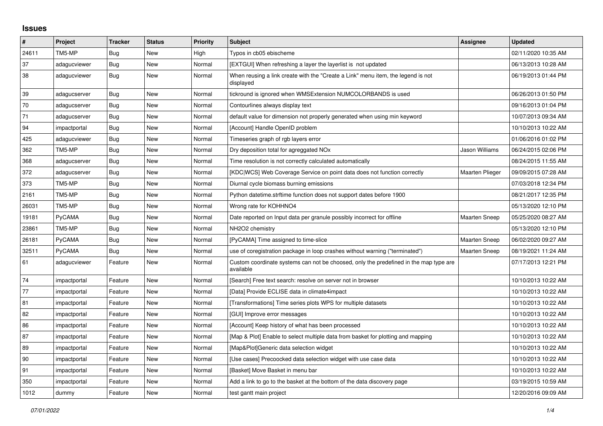## **Issues**

| $\pmb{\#}$ | Project       | <b>Tracker</b> | <b>Status</b> | <b>Priority</b> | <b>Subject</b>                                                                                     | <b>Assignee</b>        | <b>Updated</b>      |
|------------|---------------|----------------|---------------|-----------------|----------------------------------------------------------------------------------------------------|------------------------|---------------------|
| 24611      | TM5-MP        | Bug            | New           | High            | Typos in cb05 ebischeme                                                                            |                        | 02/11/2020 10:35 AM |
| 37         | adagucviewer  | <b>Bug</b>     | New           | Normal          | [EXTGUI] When refreshing a layer the layerlist is not updated                                      |                        | 06/13/2013 10:28 AM |
| 38         | adagucviewer  | <b>Bug</b>     | <b>New</b>    | Normal          | When reusing a link create with the "Create a Link" menu item, the legend is not<br>displayed      |                        | 06/19/2013 01:44 PM |
| 39         | adagucserver  | <b>Bug</b>     | New           | Normal          | tickround is ignored when WMSExtension NUMCOLORBANDS is used                                       |                        | 06/26/2013 01:50 PM |
| 70         | adagucserver  | Bug            | New           | Normal          | Contourlines always display text                                                                   |                        | 09/16/2013 01:04 PM |
| 71         | adagucserver  | Bug            | New           | Normal          | default value for dimension not properly generated when using min keyword                          |                        | 10/07/2013 09:34 AM |
| 94         | impactportal  | Bug            | New           | Normal          | [Account] Handle OpenID problem                                                                    |                        | 10/10/2013 10:22 AM |
| 425        | adagucviewer  | Bug            | New           | Normal          | Timeseries graph of rgb layers error                                                               |                        | 01/06/2016 01:02 PM |
| 362        | TM5-MP        | Bug            | New           | Normal          | Dry deposition total for agreggated NO <sub>x</sub>                                                | Jason Williams         | 06/24/2015 02:06 PM |
| 368        | adagucserver  | Bug            | New           | Normal          | Time resolution is not correctly calculated automatically                                          |                        | 08/24/2015 11:55 AM |
| 372        | adagucserver  | Bug            | New           | Normal          | [KDC WCS] Web Coverage Service on point data does not function correctly                           | <b>Maarten Plieger</b> | 09/09/2015 07:28 AM |
| 373        | TM5-MP        | Bug            | New           | Normal          | Diurnal cycle biomass burning emissions                                                            |                        | 07/03/2018 12:34 PM |
| 2161       | TM5-MP        | Bug            | New           | Normal          | Python datetime.strftime function does not support dates before 1900                               |                        | 08/21/2017 12:35 PM |
| 26031      | TM5-MP        | <b>Bug</b>     | New           | Normal          | Wrong rate for KOHHNO4                                                                             |                        | 05/13/2020 12:10 PM |
| 19181      | <b>PyCAMA</b> | <b>Bug</b>     | New           | Normal          | Date reported on Input data per granule possibly incorrect for offline                             | <b>Maarten Sneep</b>   | 05/25/2020 08:27 AM |
| 23861      | TM5-MP        | <b>Bug</b>     | <b>New</b>    | Normal          | NH2O2 chemistry                                                                                    |                        | 05/13/2020 12:10 PM |
| 26181      | <b>PyCAMA</b> | Bug            | New           | Normal          | [PyCAMA] Time assigned to time-slice                                                               | <b>Maarten Sneep</b>   | 06/02/2020 09:27 AM |
| 32511      | PyCAMA        | Bug            | New           | Normal          | use of coregistration package in loop crashes without warning ("terminated")                       | <b>Maarten Sneep</b>   | 08/19/2021 11:24 AM |
| 61         | adagucviewer  | Feature        | New           | Normal          | Custom coordinate systems can not be choosed, only the predefined in the map type are<br>available |                        | 07/17/2013 12:21 PM |
| 74         | impactportal  | Feature        | New           | Normal          | [Search] Free text search: resolve on server not in browser                                        |                        | 10/10/2013 10:22 AM |
| 77         | impactportal  | Feature        | New           | Normal          | [Data] Provide ECLISE data in climate4impact                                                       |                        | 10/10/2013 10:22 AM |
| 81         | impactportal  | Feature        | New           | Normal          | [Transformations] Time series plots WPS for multiple datasets                                      |                        | 10/10/2013 10:22 AM |
| 82         | impactportal  | Feature        | New           | Normal          | [GUI] Improve error messages                                                                       |                        | 10/10/2013 10:22 AM |
| 86         | impactportal  | Feature        | New           | Normal          | [Account] Keep history of what has been processed                                                  |                        | 10/10/2013 10:22 AM |
| 87         | impactportal  | Feature        | New           | Normal          | [Map & Plot] Enable to select multiple data from basket for plotting and mapping                   |                        | 10/10/2013 10:22 AM |
| 89         | impactportal  | Feature        | New           | Normal          | [Map&Plot]Generic data selection widget                                                            |                        | 10/10/2013 10:22 AM |
| 90         | impactportal  | Feature        | New           | Normal          | [Use cases] Precoocked data selection widget with use case data                                    |                        | 10/10/2013 10:22 AM |
| 91         | impactportal  | Feature        | New           | Normal          | [Basket] Move Basket in menu bar                                                                   |                        | 10/10/2013 10:22 AM |
| 350        | impactportal  | Feature        | New           | Normal          | Add a link to go to the basket at the bottom of the data discovery page                            |                        | 03/19/2015 10:59 AM |
| 1012       | dummy         | Feature        | <b>New</b>    | Normal          | test gantt main project                                                                            |                        | 12/20/2016 09:09 AM |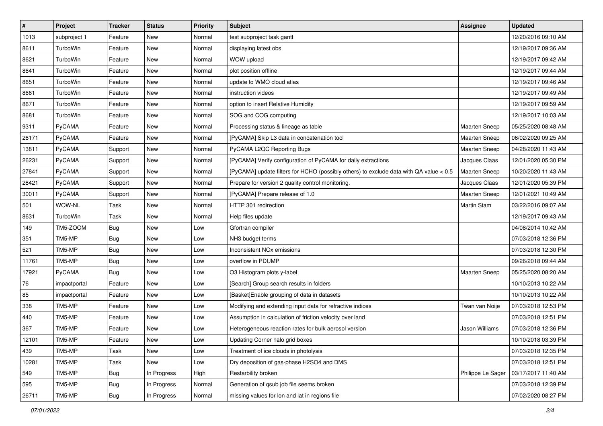| $\vert$ # | <b>Project</b> | <b>Tracker</b> | <b>Status</b> | <b>Priority</b> | <b>Subject</b>                                                                         | <b>Assignee</b>      | <b>Updated</b>      |
|-----------|----------------|----------------|---------------|-----------------|----------------------------------------------------------------------------------------|----------------------|---------------------|
| 1013      | subproject 1   | Feature        | New           | Normal          | test subproject task gantt                                                             |                      | 12/20/2016 09:10 AM |
| 8611      | TurboWin       | Feature        | <b>New</b>    | Normal          | displaying latest obs                                                                  |                      | 12/19/2017 09:36 AM |
| 8621      | TurboWin       | Feature        | New           | Normal          | WOW upload                                                                             |                      | 12/19/2017 09:42 AM |
| 8641      | TurboWin       | Feature        | New           | Normal          | plot position offline                                                                  |                      | 12/19/2017 09:44 AM |
| 8651      | TurboWin       | Feature        | <b>New</b>    | Normal          | update to WMO cloud atlas                                                              |                      | 12/19/2017 09:46 AM |
| 8661      | TurboWin       | Feature        | New           | Normal          | instruction videos                                                                     |                      | 12/19/2017 09:49 AM |
| 8671      | TurboWin       | Feature        | <b>New</b>    | Normal          | option to insert Relative Humidity                                                     |                      | 12/19/2017 09:59 AM |
| 8681      | TurboWin       | Feature        | New           | Normal          | SOG and COG computing                                                                  |                      | 12/19/2017 10:03 AM |
| 9311      | PyCAMA         | Feature        | New           | Normal          | Processing status & lineage as table                                                   | Maarten Sneep        | 05/25/2020 08:48 AM |
| 26171     | PyCAMA         | Feature        | New           | Normal          | [PyCAMA] Skip L3 data in concatenation tool                                            | Maarten Sneep        | 06/02/2020 09:25 AM |
| 13811     | <b>PyCAMA</b>  | Support        | New           | Normal          | PyCAMA L2QC Reporting Bugs                                                             | <b>Maarten Sneep</b> | 04/28/2020 11:43 AM |
| 26231     | PyCAMA         | Support        | New           | Normal          | [PyCAMA] Verify configuration of PyCAMA for daily extractions                          | Jacques Claas        | 12/01/2020 05:30 PM |
| 27841     | PyCAMA         | Support        | New           | Normal          | [PyCAMA] update filters for HCHO (possibly others) to exclude data with QA value < 0.5 | Maarten Sneep        | 10/20/2020 11:43 AM |
| 28421     | PyCAMA         | Support        | New           | Normal          | Prepare for version 2 quality control monitoring.                                      | Jacques Claas        | 12/01/2020 05:39 PM |
| 30011     | PyCAMA         | Support        | <b>New</b>    | Normal          | [PyCAMA] Prepare release of 1.0                                                        | Maarten Sneep        | 12/01/2021 10:49 AM |
| 501       | WOW-NL         | Task           | New           | Normal          | HTTP 301 redirection                                                                   | Martin Stam          | 03/22/2016 09:07 AM |
| 8631      | TurboWin       | Task           | New           | Normal          | Help files update                                                                      |                      | 12/19/2017 09:43 AM |
| 149       | TM5-ZOOM       | Bug            | New           | Low             | Gfortran compiler                                                                      |                      | 04/08/2014 10:42 AM |
| 351       | TM5-MP         | <b>Bug</b>     | New           | Low             | NH3 budget terms                                                                       |                      | 07/03/2018 12:36 PM |
| 521       | TM5-MP         | Bug            | <b>New</b>    | Low             | Inconsistent NO <sub>x</sub> emissions                                                 |                      | 07/03/2018 12:30 PM |
| 11761     | TM5-MP         | Bug            | New           | Low             | overflow in PDUMP                                                                      |                      | 09/26/2018 09:44 AM |
| 17921     | PyCAMA         | <b>Bug</b>     | New           | Low             | O3 Histogram plots y-label                                                             | <b>Maarten Sneep</b> | 05/25/2020 08:20 AM |
| 76        | impactportal   | Feature        | <b>New</b>    | Low             | [Search] Group search results in folders                                               |                      | 10/10/2013 10:22 AM |
| 85        | impactportal   | Feature        | New           | Low             | [Basket]Enable grouping of data in datasets                                            |                      | 10/10/2013 10:22 AM |
| 338       | TM5-MP         | Feature        | New           | Low             | Modifying and extending input data for refractive indices                              | Twan van Noije       | 07/03/2018 12:53 PM |
| 440       | TM5-MP         | Feature        | New           | Low             | Assumption in calculation of friction velocity over land                               |                      | 07/03/2018 12:51 PM |
| 367       | TM5-MP         | Feature        | New           | Low             | Heterogeneous reaction rates for bulk aerosol version                                  | Jason Williams       | 07/03/2018 12:36 PM |
| 12101     | TM5-MP         | Feature        | New           | Low             | Updating Corner halo grid boxes                                                        |                      | 10/10/2018 03:39 PM |
| 439       | TM5-MP         | Task           | New           | Low             | Treatment of ice clouds in photolysis                                                  |                      | 07/03/2018 12:35 PM |
| 10281     | TM5-MP         | Task           | New           | Low             | Dry deposition of gas-phase H2SO4 and DMS                                              |                      | 07/03/2018 12:51 PM |
| 549       | TM5-MP         | <b>Bug</b>     | In Progress   | High            | Restarbility broken                                                                    | Philippe Le Sager    | 03/17/2017 11:40 AM |
| 595       | TM5-MP         | Bug            | In Progress   | Normal          | Generation of qsub job file seems broken                                               |                      | 07/03/2018 12:39 PM |
| 26711     | TM5-MP         | <b>Bug</b>     | In Progress   | Normal          | missing values for lon and lat in regions file                                         |                      | 07/02/2020 08:27 PM |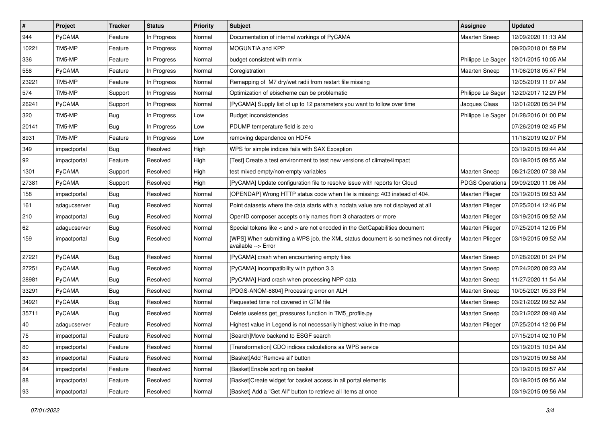| $\pmb{\#}$   | Project      | <b>Tracker</b> | <b>Status</b> | <b>Priority</b> | <b>Subject</b>                                                                                            | <b>Assignee</b>        | <b>Updated</b>      |
|--------------|--------------|----------------|---------------|-----------------|-----------------------------------------------------------------------------------------------------------|------------------------|---------------------|
| 944          | PyCAMA       | Feature        | In Progress   | Normal          | Documentation of internal workings of PyCAMA                                                              | Maarten Sneep          | 12/09/2020 11:13 AM |
| 10221        | TM5-MP       | Feature        | In Progress   | Normal          | MOGUNTIA and KPP                                                                                          |                        | 09/20/2018 01:59 PM |
| 336          | TM5-MP       | Feature        | In Progress   | Normal          | budget consistent with mmix                                                                               | Philippe Le Sager      | 12/01/2015 10:05 AM |
| 558          | PyCAMA       | Feature        | In Progress   | Normal          | Coregistration                                                                                            | <b>Maarten Sneep</b>   | 11/06/2018 05:47 PM |
| 23221        | TM5-MP       | Feature        | In Progress   | Normal          | Remapping of M7 dry/wet radii from restart file missing                                                   |                        | 12/05/2019 11:07 AM |
| 574          | TM5-MP       | Support        | In Progress   | Normal          | Optimization of ebischeme can be problematic                                                              | Philippe Le Sager      | 12/20/2017 12:29 PM |
| 26241        | PyCAMA       | Support        | In Progress   | Normal          | [PyCAMA] Supply list of up to 12 parameters you want to follow over time                                  | Jacques Claas          | 12/01/2020 05:34 PM |
| 320          | TM5-MP       | <b>Bug</b>     | In Progress   | Low             | <b>Budget inconsistencies</b>                                                                             | Philippe Le Sager      | 01/28/2016 01:00 PM |
| 20141        | TM5-MP       | Bug            | In Progress   | Low             | PDUMP temperature field is zero                                                                           |                        | 07/26/2019 02:45 PM |
| 8931         | TM5-MP       | Feature        | In Progress   | Low             | removing dependence on HDF4                                                                               |                        | 11/18/2019 02:07 PM |
| 349          | impactportal | <b>Bug</b>     | Resolved      | High            | WPS for simple indices fails with SAX Exception                                                           |                        | 03/19/2015 09:44 AM |
| 92           | impactportal | Feature        | Resolved      | High            | [Test] Create a test environment to test new versions of climate4impact                                   |                        | 03/19/2015 09:55 AM |
| 1301         | PyCAMA       | Support        | Resolved      | High            | test mixed empty/non-empty variables                                                                      | Maarten Sneep          | 08/21/2020 07:38 AM |
| 27381        | PyCAMA       | Support        | Resolved      | High            | [PyCAMA] Update configuration file to resolve issue with reports for Cloud                                | <b>PDGS Operations</b> | 09/09/2020 11:06 AM |
| 158          | impactportal | Bug            | Resolved      | Normal          | [OPENDAP] Wrong HTTP status code when file is missing: 403 instead of 404.                                | Maarten Plieger        | 03/19/2015 09:53 AM |
| 161          | adagucserver | <b>Bug</b>     | Resolved      | Normal          | Point datasets where the data starts with a nodata value are not displayed at all                         | Maarten Plieger        | 07/25/2014 12:46 PM |
| 210          | impactportal | Bug            | Resolved      | Normal          | OpenID composer accepts only names from 3 characters or more                                              | Maarten Plieger        | 03/19/2015 09:52 AM |
| 62           | adagucserver | Bug            | Resolved      | Normal          | Special tokens like < and > are not encoded in the GetCapabilities document                               | Maarten Plieger        | 07/25/2014 12:05 PM |
| 159          | impactportal | <b>Bug</b>     | Resolved      | Normal          | [WPS] When submitting a WPS job, the XML status document is sometimes not directly<br>available --> Error | Maarten Plieger        | 03/19/2015 09:52 AM |
| 27221        | PyCAMA       | <b>Bug</b>     | Resolved      | Normal          | [PyCAMA] crash when encountering empty files                                                              | Maarten Sneep          | 07/28/2020 01:24 PM |
| 27251        | PyCAMA       | <b>Bug</b>     | Resolved      | Normal          | [PyCAMA] incompatibility with python 3.3                                                                  | Maarten Sneep          | 07/24/2020 08:23 AM |
| 28981        | PyCAMA       | Bug            | Resolved      | Normal          | [PyCAMA] Hard crash when processing NPP data                                                              | Maarten Sneep          | 11/27/2020 11:54 AM |
| 33291        | PyCAMA       | <b>Bug</b>     | Resolved      | Normal          | [PDGS-ANOM-8804] Processing error on ALH                                                                  | <b>Maarten Sneep</b>   | 10/05/2021 05:33 PM |
| 34921        | PyCAMA       | Bug            | Resolved      | Normal          | Requested time not covered in CTM file                                                                    | <b>Maarten Sneep</b>   | 03/21/2022 09:52 AM |
| 35711        | PyCAMA       | Bug            | Resolved      | Normal          | Delete useless get pressures function in TM5 profile.py                                                   | Maarten Sneep          | 03/21/2022 09:48 AM |
| $ 40\rangle$ | adagucserver | Feature        | Resolved      | Normal          | Highest value in Legend is not necessarily highest value in the map                                       | Maarten Plieger        | 07/25/2014 12:06 PM |
| 75           | impactportal | Feature        | Resolved      | Normal          | [Search]Move backend to ESGF search                                                                       |                        | 07/15/2014 02:10 PM |
| 80           | impactportal | Feature        | Resolved      | Normal          | [Transformation] CDO indices calculations as WPS service                                                  |                        | 03/19/2015 10:04 AM |
| 83           | impactportal | Feature        | Resolved      | Normal          | [Basket]Add 'Remove all' button                                                                           |                        | 03/19/2015 09:58 AM |
| 84           | impactportal | Feature        | Resolved      | Normal          | [Basket]Enable sorting on basket                                                                          |                        | 03/19/2015 09:57 AM |
| 88           | impactportal | Feature        | Resolved      | Normal          | [Basket]Create widget for basket access in all portal elements                                            |                        | 03/19/2015 09:56 AM |
| 93           | impactportal | Feature        | Resolved      | Normal          | [Basket] Add a "Get All" button to retrieve all items at once                                             |                        | 03/19/2015 09:56 AM |